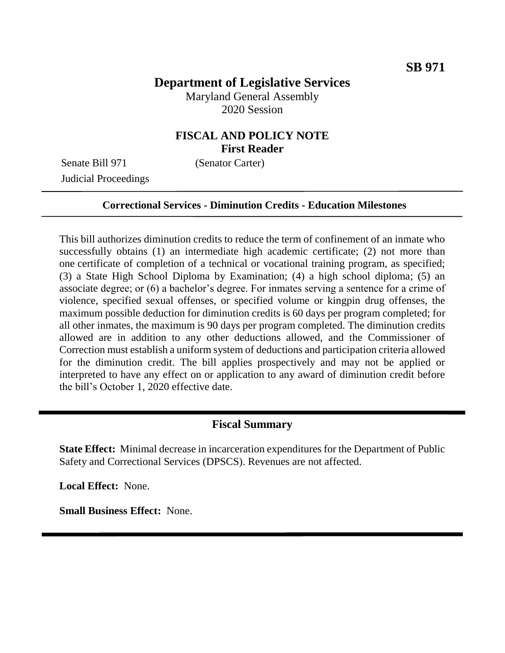# **Department of Legislative Services**

Maryland General Assembly 2020 Session

### **FISCAL AND POLICY NOTE First Reader**

Senate Bill 971 (Senator Carter) Judicial Proceedings

#### **Correctional Services - Diminution Credits - Education Milestones**

This bill authorizes diminution credits to reduce the term of confinement of an inmate who successfully obtains (1) an intermediate high academic certificate; (2) not more than one certificate of completion of a technical or vocational training program, as specified; (3) a State High School Diploma by Examination; (4) a high school diploma; (5) an associate degree; or (6) a bachelor's degree. For inmates serving a sentence for a crime of violence, specified sexual offenses, or specified volume or kingpin drug offenses, the maximum possible deduction for diminution credits is 60 days per program completed; for all other inmates, the maximum is 90 days per program completed. The diminution credits allowed are in addition to any other deductions allowed, and the Commissioner of Correction must establish a uniform system of deductions and participation criteria allowed for the diminution credit. The bill applies prospectively and may not be applied or interpreted to have any effect on or application to any award of diminution credit before the bill's October 1, 2020 effective date.

#### **Fiscal Summary**

**State Effect:** Minimal decrease in incarceration expenditures for the Department of Public Safety and Correctional Services (DPSCS). Revenues are not affected.

**Local Effect:** None.

**Small Business Effect:** None.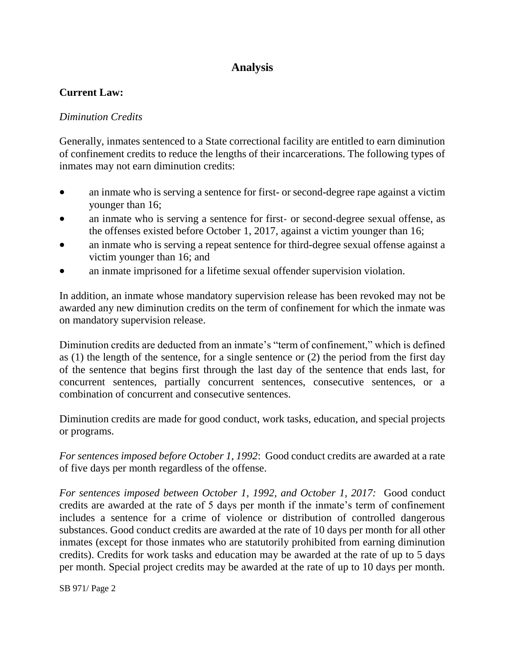## **Analysis**

## **Current Law:**

### *Diminution Credits*

Generally, inmates sentenced to a State correctional facility are entitled to earn diminution of confinement credits to reduce the lengths of their incarcerations. The following types of inmates may not earn diminution credits:

- an inmate who is serving a sentence for first- or second-degree rape against a victim younger than 16;
- an inmate who is serving a sentence for first- or second-degree sexual offense, as the offenses existed before October 1, 2017, against a victim younger than 16;
- an inmate who is serving a repeat sentence for third-degree sexual offense against a victim younger than 16; and
- an inmate imprisoned for a lifetime sexual offender supervision violation.

In addition, an inmate whose mandatory supervision release has been revoked may not be awarded any new diminution credits on the term of confinement for which the inmate was on mandatory supervision release.

Diminution credits are deducted from an inmate's "term of confinement," which is defined as (1) the length of the sentence, for a single sentence or (2) the period from the first day of the sentence that begins first through the last day of the sentence that ends last, for concurrent sentences, partially concurrent sentences, consecutive sentences, or a combination of concurrent and consecutive sentences.

Diminution credits are made for good conduct, work tasks, education, and special projects or programs.

*For sentences imposed before October 1, 1992*: Good conduct credits are awarded at a rate of five days per month regardless of the offense.

*For sentences imposed between October 1, 1992, and October 1, 2017:* Good conduct credits are awarded at the rate of 5 days per month if the inmate's term of confinement includes a sentence for a crime of violence or distribution of controlled dangerous substances. Good conduct credits are awarded at the rate of 10 days per month for all other inmates (except for those inmates who are statutorily prohibited from earning diminution credits). Credits for work tasks and education may be awarded at the rate of up to 5 days per month. Special project credits may be awarded at the rate of up to 10 days per month.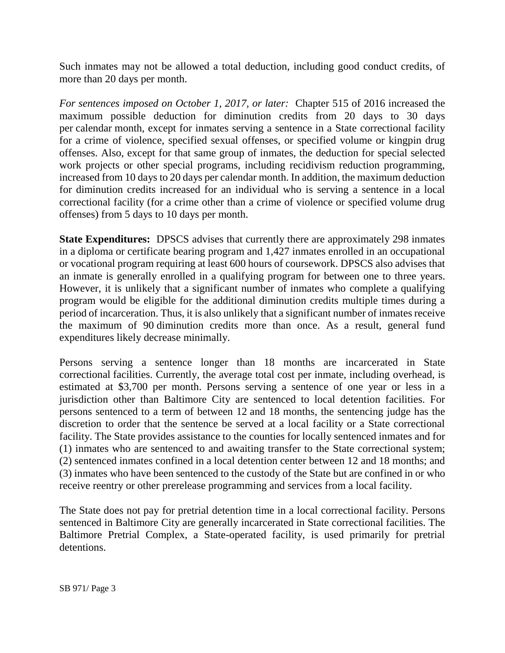Such inmates may not be allowed a total deduction, including good conduct credits, of more than 20 days per month.

*For sentences imposed on October 1, 2017, or later:* Chapter 515 of 2016 increased the maximum possible deduction for diminution credits from 20 days to 30 days per calendar month, except for inmates serving a sentence in a State correctional facility for a crime of violence, specified sexual offenses, or specified volume or kingpin drug offenses. Also, except for that same group of inmates, the deduction for special selected work projects or other special programs, including recidivism reduction programming, increased from 10 days to 20 days per calendar month. In addition, the maximum deduction for diminution credits increased for an individual who is serving a sentence in a local correctional facility (for a crime other than a crime of violence or specified volume drug offenses) from 5 days to 10 days per month.

**State Expenditures:** DPSCS advises that currently there are approximately 298 inmates in a diploma or certificate bearing program and 1,427 inmates enrolled in an occupational or vocational program requiring at least 600 hours of coursework. DPSCS also advises that an inmate is generally enrolled in a qualifying program for between one to three years. However, it is unlikely that a significant number of inmates who complete a qualifying program would be eligible for the additional diminution credits multiple times during a period of incarceration. Thus, it is also unlikely that a significant number of inmates receive the maximum of 90 diminution credits more than once. As a result, general fund expenditures likely decrease minimally.

Persons serving a sentence longer than 18 months are incarcerated in State correctional facilities. Currently, the average total cost per inmate, including overhead, is estimated at \$3,700 per month. Persons serving a sentence of one year or less in a jurisdiction other than Baltimore City are sentenced to local detention facilities. For persons sentenced to a term of between 12 and 18 months, the sentencing judge has the discretion to order that the sentence be served at a local facility or a State correctional facility. The State provides assistance to the counties for locally sentenced inmates and for (1) inmates who are sentenced to and awaiting transfer to the State correctional system; (2) sentenced inmates confined in a local detention center between 12 and 18 months; and (3) inmates who have been sentenced to the custody of the State but are confined in or who receive reentry or other prerelease programming and services from a local facility.

The State does not pay for pretrial detention time in a local correctional facility. Persons sentenced in Baltimore City are generally incarcerated in State correctional facilities. The Baltimore Pretrial Complex, a State-operated facility, is used primarily for pretrial detentions.